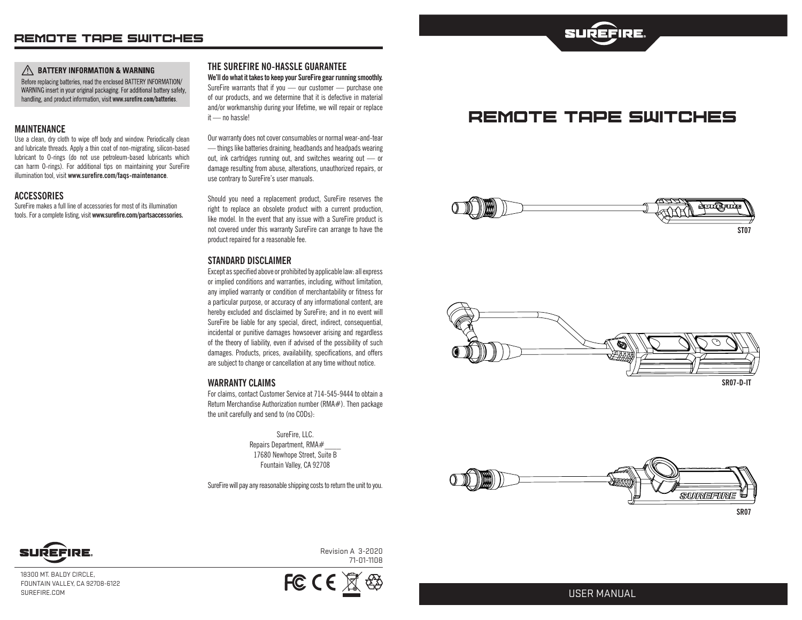# REMOtE tAPE SWitcHES

#### $\bigwedge$  BATTERY INFORMATION & WARNING

Before replacing batteries, read the enclosed BATTERY INFORMATION/ WARNING insert in your original packaging. For additional battery safety, handling, and product information, visit www.surefire.com/batteries.

#### **MAINTENANCE**

Use a clean, dry cloth to wipe off body and window. Periodically clean and lubricate threads. Apply a thin coat of non-migrating, silicon-based lubricant to O-rings (do not use petroleum-based lubricants which can harm O-rings). For additional tips on maintaining your SureFire illumination tool, visit **www.surefire.com/faqs-maintenance**.

#### **ACCESSORIES**

SureFire makes a full line of accessories for most of its illumination tools. For a complete listing, visit **www.surefire.com/partsaccessories.**

#### **THE SUREFIRE NO-HASSLE GUARANTEE**

**We'll do what it takes to keep your SureFire gear running smoothly.** SureFire warrants that if you — our customer — purchase one of our products, and we determine that it is defective in material and/or workmanship during your lifetime, we will repair or replace it — no hassle!

Our warranty does not cover consumables or normal wear-and-tear — things like batteries draining, headbands and headpads wearing out, ink cartridges running out, and switches wearing out — or damage resulting from abuse, alterations, unauthorized repairs, or use contrary to SureFire's user manuals.

Should you need a replacement product, SureFire reserves the right to replace an obsolete product with a current production, like model. In the event that any issue with a SureFire product is not covered under this warranty SureFire can arrange to have the product repaired for a reasonable fee.

#### **STANDARD DISCLAIMER**

Except as specified above or prohibited by applicable law: all express or implied conditions and warranties, including, without limitation, any implied warranty or condition of merchantability or fitness for a particular purpose, or accuracy of any informational content, are hereby excluded and disclaimed by SureFire; and in no event will SureFire be liable for any special, direct, indirect, consequential, incidental or punitive damages howsoever arising and regardless of the theory of liability, even if advised of the possibility of such damages. Products, prices, availability, specifications, and offers are subject to change or cancellation at any time without notice.

#### **WARRANTY CLAIMS**

For claims, contact Customer Service at 714-545-9444 to obtain a Return Merchandise Authorization number (RMA#). Then package the unit carefully and send to (no CODs):

> SureFire, LLC. Repairs Department, RMA# 17680 Newhope Street, Suite B Fountain Valley, CA 92708

SureFire will pay any reasonable shipping costs to return the unit to you.

# REMOtE tAPE SWitcHES

**SUREFIRE** 









18300 MT. BALDY CIRCLE, FOUNTAIN VALLEY, CA 92708-6122



Revision A 3-2020 71-01-1108